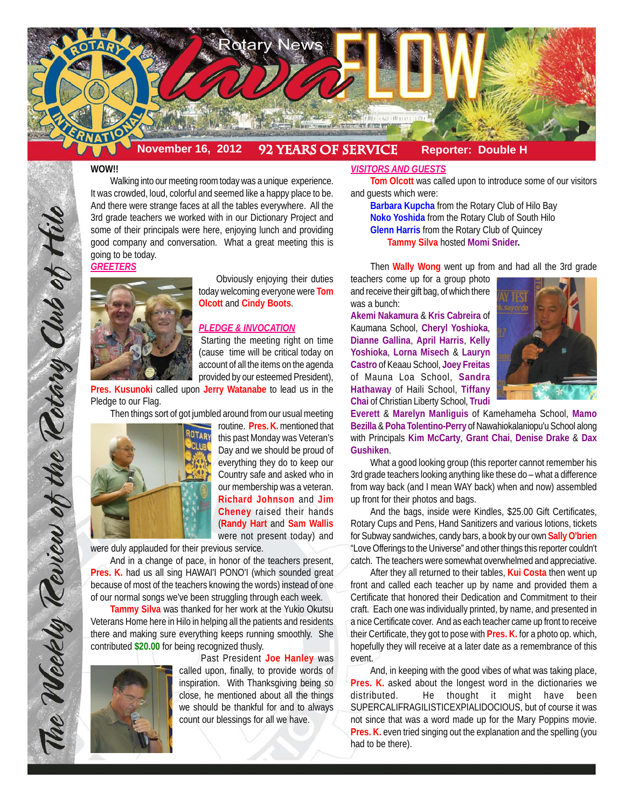

#### **WOW!!**

Walking into our meeting room today was a unique experience. It was crowded, loud, colorful and seemed like a happy place to be. And there were strange faces at all the tables everywhere. All the 3rd grade teachers we worked with in our Dictionary Project and some of their principals were here, enjoying lunch and providing good company and conversation. What a great meeting this is going to be today.

*GREETERS*



 Obviously enjoying their duties today welcoming everyone were **Tom Olcott** and **Cindy Boots**.

### *PLEDGE & INVOCATION*

Starting the meeting right on time (cause time will be critical today on account of all the items on the agenda provided by our esteemed President),

**Pres. Kusunoki** called upon **Jerry Watanabe** to lead us in the Pledge to our Flag.

Then things sort of got jumbled around from our usual meeting



The Weekly Review of the Retary Club of Hilo

routine. **Pres. K.** mentioned that this past Monday was Veteran's Day and we should be proud of everything they do to keep our Country safe and asked who in our membership was a veteran. **Richard Johnson** and **Jim Cheney** raised their hands (**Randy Hart** and **Sam Wallis** were not present today) and

were duly applauded for their previous service.

And in a change of pace, in honor of the teachers present, **Pres. K.** had us all sing HAWAI'I PONO'I (which sounded great because of most of the teachers knowing the words) instead of one of our normal songs we've been struggling through each week.

**Tammy Silva** was thanked for her work at the Yukio Okutsu Veterans Home here in Hilo in helping all the patients and residents there and making sure everything keeps running smoothly. She contributed **\$20.00** for being recognized thusly.



Past President **Joe Hanley** was called upon, finally, to provide words of inspiration. With Thanksgiving being so close, he mentioned about all the things we should be thankful for and to always count our blessings for all we have.

## *VISITORS AND GUESTS*

**Tom Olcott** was called upon to introduce some of our visitors and guests which were:

**Barbara Kupcha** from the Rotary Club of Hilo Bay **Noko Yoshida** from the Rotary Club of South Hilo **Glenn Harris** from the Rotary Club of Quincey **Tammy Silva** hosted **Momi Snider.**

Then **Wally Wong** went up from and had all the 3rd grade

teachers come up for a group photo and receive their gift bag, of which there was a bunch:

**Akemi Nakamura** & **Kris Cabreira** of Kaumana School, **Cheryl Yoshioka**, **Dianne Gallina**, **April Harris**, **Kelly Yoshioka**, **Lorna Misech** & **Lauryn Castro** of Keaau School, **Joey Freitas** of Mauna Loa School, **Sandra Hathaway** of Haili School, **Tiffany Chai** of Christian Liberty School, **Trudi**



**Everett** & **Marelyn Manliguis** of Kamehameha School, **Mamo Bezilla** & **Poha Tolentino-Perry** of Nawahiokalaniopu'u School along with Principals **Kim McCarty**, **Grant Chai**, **Denise Drake** & **Dax Gushiken**.

What a good looking group (this reporter cannot remember his 3rd grade teachers looking anything like these do – what a difference from way back (and I mean WAY back) when and now) assembled up front for their photos and bags.

And the bags, inside were Kindles, \$25.00 Gift Certificates, Rotary Cups and Pens, Hand Sanitizers and various lotions, tickets for Subway sandwiches, candy bars, a book by our own **Sally O'brien** "Love Offerings to the Universe" and other things this reporter couldn't catch. The teachers were somewhat overwhelmed and appreciative.

After they all returned to their tables, **Kui Costa** then went up front and called each teacher up by name and provided them a Certificate that honored their Dedication and Commitment to their craft. Each one was individually printed, by name, and presented in a nice Certificate cover. And as each teacher came up front to receive their Certificate, they got to pose with **Pres. K.** for a photo op. which, hopefully they will receive at a later date as a remembrance of this event.

And, in keeping with the good vibes of what was taking place, **Pres. K.** asked about the longest word in the dictionaries we distributed. He thought it might have been SUPERCALIFRAGILISTICEXPIALIDOCIOUS, but of course it was not since that was a word made up for the Mary Poppins movie. **Pres. K.** even tried singing out the explanation and the spelling (you had to be there).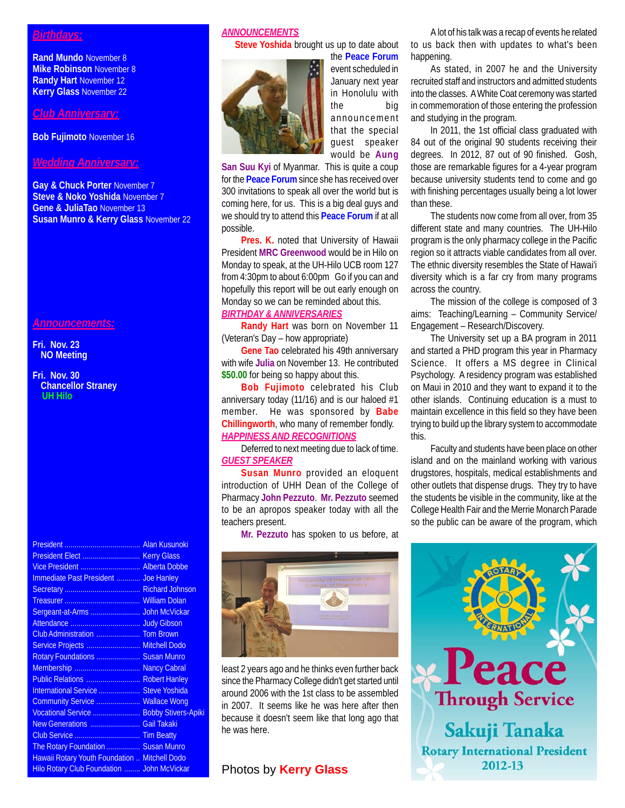# *Birthdays:*

**Rand Mundo** November 8 **Mike Robinson** November 8 **Randy Hart** November 12 **Kerry Glass** November 22

### *Club Anniversary:*

**Bob Fujimoto** November 16

# *Wedding Anniversary:*

**Gay & Chuck Porter** November 7 **Steve & Noko Yoshida** November 7 **Gene & JuliaTao** November 13 **Susan Munro & Kerry Glass** November 22

#### *Announcements:*

**Fri. Nov. 23 NO Meeting**

#### **Fri. Nov. 30 Chancellor Straney UH Hilo**

| Vice President  Alberta Dobbe                 |  |
|-----------------------------------------------|--|
| Immediate Past President  Joe Hanley          |  |
|                                               |  |
|                                               |  |
|                                               |  |
|                                               |  |
|                                               |  |
| Service Projects  Mitchell Dodo               |  |
| Rotary Foundations  Susan Munro               |  |
| Membership  Nancy Cabral                      |  |
| Public Relations  Robert Hanley               |  |
| International Service  Steve Yoshida          |  |
| Community Service  Wallace Wong               |  |
| Vocational Service  Bobby Stivers-Apiki       |  |
| New Generations  Gail Takaki                  |  |
|                                               |  |
| The Rotary Foundation  Susan Munro            |  |
| Hawaii Rotary Youth Foundation  Mitchell Dodo |  |
| Hilo Rotary Club Foundation  John McVickar    |  |

## *ANNOUNCEMENTS*

**Steve Yoshida** brought us up to date about



the **Peace Forum** event scheduled in January next year in Honolulu with the big announcement that the special guest speaker would be **Aung**

**San Suu Kyi** of Myanmar. This is quite a coup for the **Peace Forum** since she has received over 300 invitations to speak all over the world but is coming here, for us. This is a big deal guys and we should try to attend this **Peace Forum** if at all possible.

**Pres. K.** noted that University of Hawaii President **MRC Greenwood** would be in Hilo on Monday to speak, at the UH-Hilo UCB room 127 from 4:30pm to about 6:00pm Go if you can and hopefully this report will be out early enough on Monday so we can be reminded about this.

## *BIRTHDAY & ANNIVERSARIES*

**Randy Hart** was born on November 11 (Veteran's Day – how appropriate)

**Gene Tao** celebrated his 49th anniversary with wife **Julia** on November 13. He contributed **\$50.00** for being so happy about this.

**Bob Fujimoto** celebrated his Club anniversary today (11/16) and is our haloed #1 member. He was sponsored by **Babe Chillingworth**, who many of remember fondly. *HAPPINESS AND RECOGNITIONS*

Deferred to next meeting due to lack of time. *GUEST SPEAKER*

**Susan Munro** provided an eloquent introduction of UHH Dean of the College of Pharmacy **John Pezzuto**. **Mr. Pezzuto** seemed to be an apropos speaker today with all the teachers present.

**Mr. Pezzuto** has spoken to us before, at



least 2 years ago and he thinks even further back since the Pharmacy College didn't get started until around 2006 with the 1st class to be assembled in 2007. It seems like he was here after then because it doesn't seem like that long ago that he was here.

## Photos by **Kerry Glass**

A lot of his talk was a recap of events he related to us back then with updates to what's been happening.

As stated, in 2007 he and the University recruited staff and instructors and admitted students into the classes. A White Coat ceremony was started in commemoration of those entering the profession and studying in the program.

In 2011, the 1st official class graduated with 84 out of the original 90 students receiving their degrees. In 2012, 87 out of 90 finished. Gosh, those are remarkable figures for a 4-year program because university students tend to come and go with finishing percentages usually being a lot lower than these.

The students now come from all over, from 35 different state and many countries. The UH-Hilo program is the only pharmacy college in the Pacific region so it attracts viable candidates from all over. The ethnic diversity resembles the State of Hawai'i diversity which is a far cry from many programs across the country.

The mission of the college is composed of 3 aims: Teaching/Learning – Community Service/ Engagement – Research/Discovery.

The University set up a BA program in 2011 and started a PHD program this year in Pharmacy Science. It offers a MS degree in Clinical Psychology. A residency program was established on Maui in 2010 and they want to expand it to the other islands. Continuing education is a must to maintain excellence in this field so they have been trying to build up the library system to accommodate this.

Faculty and students have been place on other island and on the mainland working with various drugstores, hospitals, medical establishments and other outlets that dispense drugs. They try to have the students be visible in the community, like at the College Health Fair and the Merrie Monarch Parade so the public can be aware of the program, which